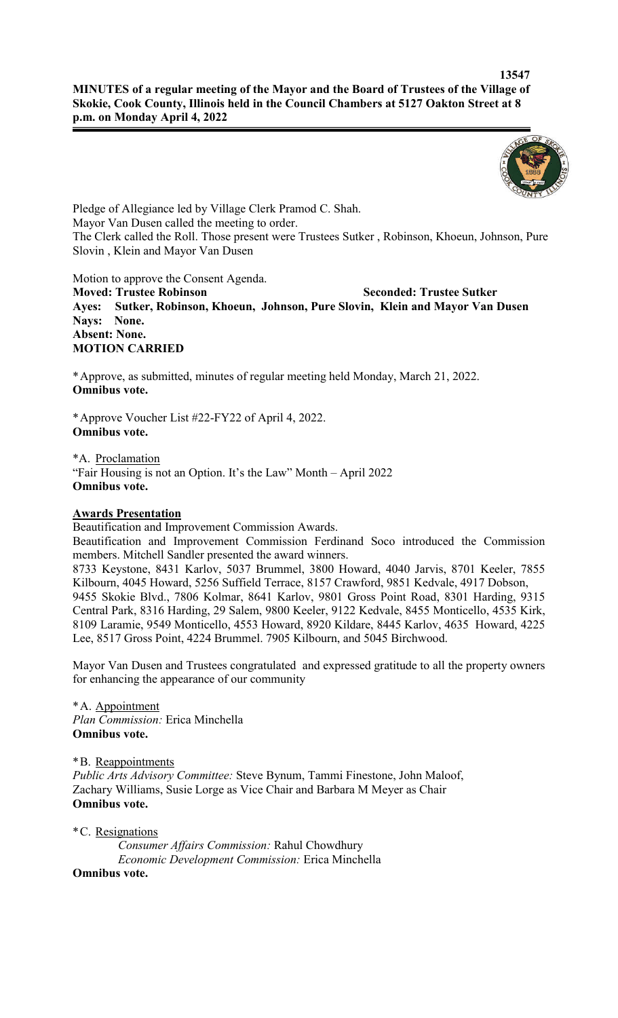

Pledge of Allegiance led by Village Clerk Pramod C. Shah. Mayor Van Dusen called the meeting to order. The Clerk called the Roll. Those present were Trustees Sutker , Robinson, Khoeun, Johnson, Pure Slovin , Klein and Mayor Van Dusen

Motion to approve the Consent Agenda.

**Moved: Trustee Robinson Seconded: Trustee Sutker Ayes: Sutker, Robinson, Khoeun, Johnson, Pure Slovin, Klein and Mayor Van Dusen Nays: None. Absent: None. MOTION CARRIED**

\*Approve, as submitted, minutes of regular meeting held Monday, March 21, 2022. **Omnibus vote.**

\*Approve Voucher List #22-FY22 of April 4, 2022. **Omnibus vote.**

\*A. Proclamation "Fair Housing is not an Option. It's the Law" Month – April 2022 **Omnibus vote.**

### **Awards Presentation**

Beautification and Improvement Commission Awards.

Beautification and Improvement Commission Ferdinand Soco introduced the Commission members. Mitchell Sandler presented the award winners.

8733 Keystone, 8431 Karlov, 5037 Brummel, 3800 Howard, 4040 Jarvis, 8701 Keeler, 7855 Kilbourn, 4045 Howard, 5256 Suffield Terrace, 8157 Crawford, 9851 Kedvale, 4917 Dobson, 9455 Skokie Blvd., 7806 Kolmar, 8641 Karlov, 9801 Gross Point Road, 8301 Harding, 9315 Central Park, 8316 Harding, 29 Salem, 9800 Keeler, 9122 Kedvale, 8455 Monticello, 4535 Kirk, 8109 Laramie, 9549 Monticello, 4553 Howard, 8920 Kildare, 8445 Karlov, 4635 Howard, 4225 Lee, 8517 Gross Point, 4224 Brummel. 7905 Kilbourn, and 5045 Birchwood.

Mayor Van Dusen and Trustees congratulated and expressed gratitude to all the property owners for enhancing the appearance of our community

\*A. Appointment *Plan Commission:* Erica Minchella **Omnibus vote.**

\*B. Reappointments

*Public Arts Advisory Committee:* Steve Bynum, Tammi Finestone, John Maloof, Zachary Williams, Susie Lorge as Vice Chair and Barbara M Meyer as Chair **Omnibus vote.**

\*C. Resignations

*Consumer Affairs Commission:* Rahul Chowdhury *Economic Development Commission:* Erica Minchella

**Omnibus vote.**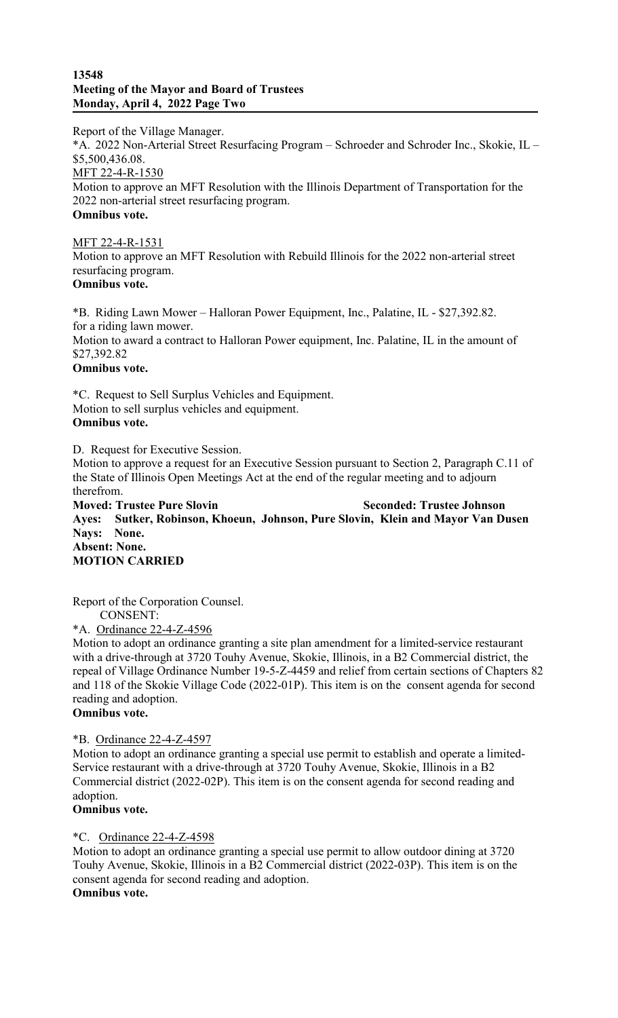#### **13548 Meeting of the Mayor and Board of Trustees Monday, April 4, 2022 Page Two**

Report of the Village Manager.

\*A. 2022 Non-Arterial Street Resurfacing Program – Schroeder and Schroder Inc., Skokie, IL – \$5,500,436.08.

MFT 22-4-R-1530 Motion to approve an MFT Resolution with the Illinois Department of Transportation for the 2022 non-arterial street resurfacing program. **Omnibus vote.**

### MFT 22-4-R-1531

Motion to approve an MFT Resolution with Rebuild Illinois for the 2022 non-arterial street resurfacing program. **Omnibus vote.**

\*B. Riding Lawn Mower – Halloran Power Equipment, Inc., Palatine, IL - \$27,392.82. for a riding lawn mower. Motion to award a contract to Halloran Power equipment, Inc. Palatine, IL in the amount of \$27,392.82 **Omnibus vote.**

\*C. Request to Sell Surplus Vehicles and Equipment. Motion to sell surplus vehicles and equipment. **Omnibus vote.**

D. Request for Executive Session.

Motion to approve a request for an Executive Session pursuant to Section 2, Paragraph C.11 of the State of Illinois Open Meetings Act at the end of the regular meeting and to adjourn therefrom.

**Moved: Trustee Pure Slovin Seconded: Trustee Johnson Ayes: Sutker, Robinson, Khoeun, Johnson, Pure Slovin, Klein and Mayor Van Dusen Nays: None. Absent: None. MOTION CARRIED**

Report of the Corporation Counsel.

CONSENT:

\*A. Ordinance 22-4-Z-4596

Motion to adopt an ordinance granting a site plan amendment for a limited-service restaurant with a drive-through at 3720 Touhy Avenue, Skokie, Illinois, in a B2 Commercial district, the repeal of Village Ordinance Number 19-5-Z-4459 and relief from certain sections of Chapters 82 and 118 of the Skokie Village Code (2022-01P). This item is on the consent agenda for second reading and adoption.

## **Omnibus vote.**

## \*B. Ordinance 22-4-Z-4597

Motion to adopt an ordinance granting a special use permit to establish and operate a limited-Service restaurant with a drive-through at 3720 Touhy Avenue, Skokie, Illinois in a B2 Commercial district (2022-02P). This item is on the consent agenda for second reading and adoption.

# **Omnibus vote.**

## \*C. Ordinance 22-4-Z-4598

Motion to adopt an ordinance granting a special use permit to allow outdoor dining at 3720 Touhy Avenue, Skokie, Illinois in a B2 Commercial district (2022-03P). This item is on the consent agenda for second reading and adoption. **Omnibus vote.**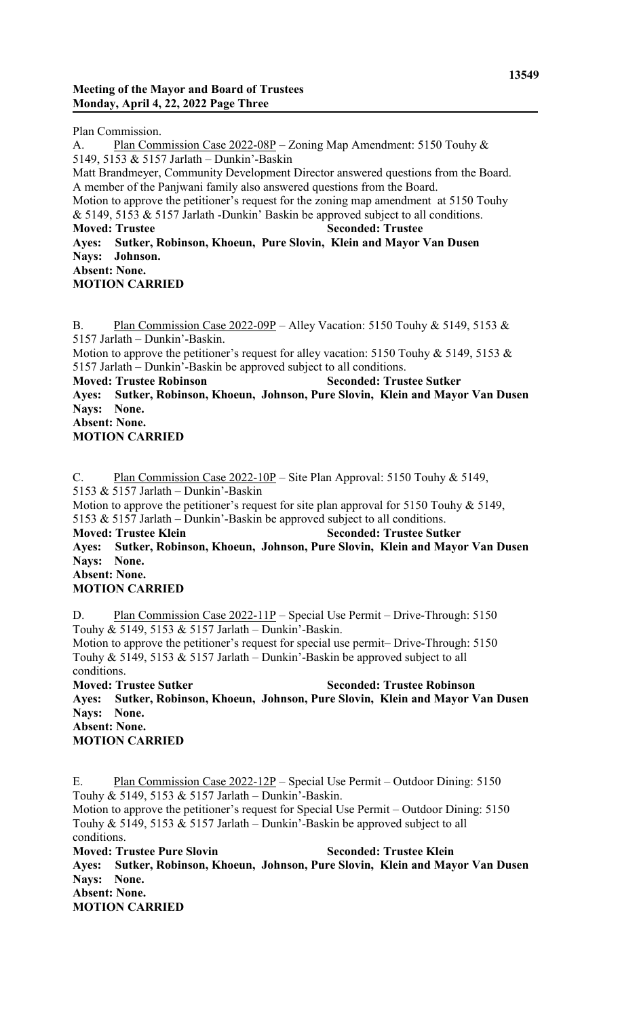Plan Commission.

A. Plan Commission Case 2022-08P – Zoning Map Amendment: 5150 Touhy & 5149, 5153 & 5157 Jarlath – Dunkin'-Baskin Matt Brandmeyer, Community Development Director answered questions from the Board. A member of the Panjwani family also answered questions from the Board. Motion to approve the petitioner's request for the zoning map amendment at 5150 Touhy & 5149, 5153 & 5157 Jarlath -Dunkin' Baskin be approved subject to all conditions. **Moved: Trustee Seconded: Trustee Ayes: Sutker, Robinson, Khoeun, Pure Slovin, Klein and Mayor Van Dusen Nays: Johnson. Absent: None. MOTION CARRIED**

B. Plan Commission Case 2022-09P – Alley Vacation: 5150 Touhy & 5149, 5153 & 5157 Jarlath – Dunkin'-Baskin. Motion to approve the petitioner's request for alley vacation: 5150 Touhy & 5149, 5153 & 5157 Jarlath – Dunkin'-Baskin be approved subject to all conditions. **Moved: Trustee Robinson Seconded: Trustee Sutker Ayes: Sutker, Robinson, Khoeun, Johnson, Pure Slovin, Klein and Mayor Van Dusen Nays: None. Absent: None. MOTION CARRIED**

C. Plan Commission Case 2022-10P – Site Plan Approval: 5150 Touhy & 5149, 5153 & 5157 Jarlath – Dunkin'-Baskin Motion to approve the petitioner's request for site plan approval for 5150 Touhy & 5149, 5153 & 5157 Jarlath – Dunkin'-Baskin be approved subject to all conditions. **Moved: Trustee Klein Seconded: Trustee Sutker Ayes: Sutker, Robinson, Khoeun, Johnson, Pure Slovin, Klein and Mayor Van Dusen Nays: None. Absent: None. MOTION CARRIED**

D. Plan Commission Case 2022-11P – Special Use Permit – Drive-Through: 5150 Touhy & 5149, 5153 & 5157 Jarlath – Dunkin'-Baskin. Motion to approve the petitioner's request for special use permit– Drive-Through: 5150 Touhy & 5149, 5153 & 5157 Jarlath – Dunkin'-Baskin be approved subject to all conditions.

**Moved: Trustee Sutker Seconded: Trustee Robinson Ayes: Sutker, Robinson, Khoeun, Johnson, Pure Slovin, Klein and Mayor Van Dusen Nays: None. Absent: None. MOTION CARRIED**

E. Plan Commission Case 2022-12P – Special Use Permit – Outdoor Dining: 5150 Touhy & 5149, 5153 & 5157 Jarlath – Dunkin'-Baskin. Motion to approve the petitioner's request for Special Use Permit – Outdoor Dining: 5150 Touhy & 5149, 5153 & 5157 Jarlath – Dunkin'-Baskin be approved subject to all conditions. **Moved: Trustee Pure Slovin Seconded: Trustee Klein Ayes: Sutker, Robinson, Khoeun, Johnson, Pure Slovin, Klein and Mayor Van Dusen Nays: None. Absent: None. MOTION CARRIED**